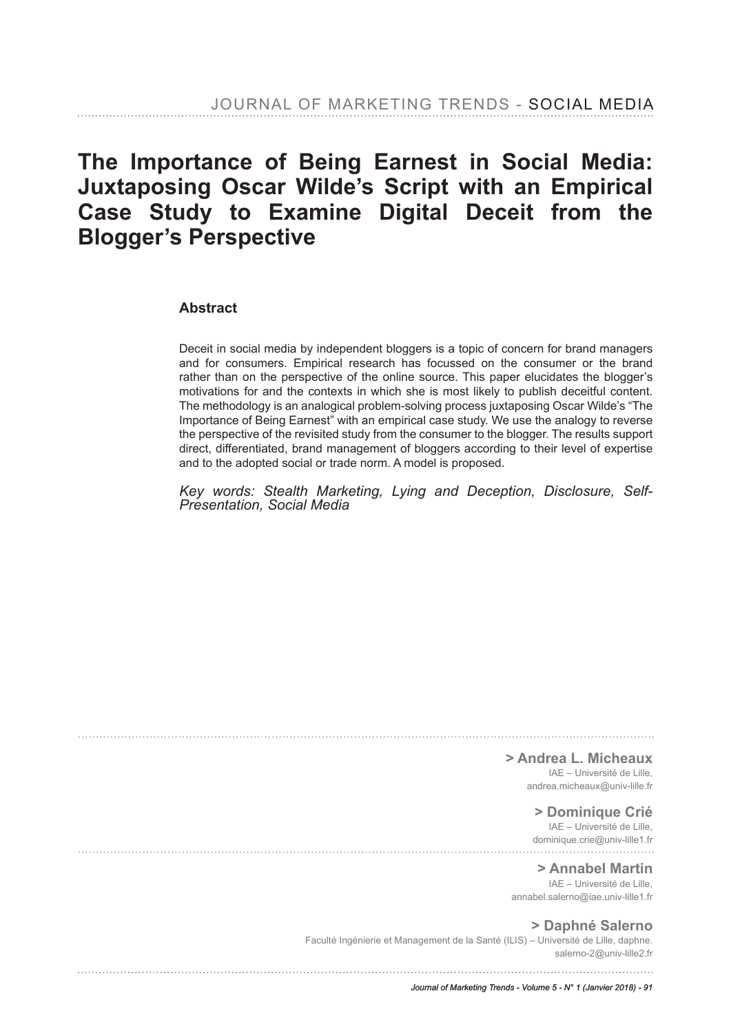# **The Importance of Being Earnest in Social Media: Juxtaposing Oscar Wilde's Script with an Empirical Case Study to Examine Digital Deceit from the Blogger's Perspective**

## **Abstract**

Deceit in social media by independent bloggers is a topic of concern for brand managers and for consumers. Empirical research has focussed on the consumer or the brand rather than on the perspective of the online source. This paper elucidates the blogger's motivations for and the contexts in which she is most likely to publish deceitful content. The methodology is an analogical problem-solving process juxtaposing Oscar Wilde's "The Importance of Being Earnest" with an empirical case study. We use the analogy to reverse the perspective of the revisited study from the consumer to the blogger. The results support direct, differentiated, brand management of bloggers according to their level of expertise and to the adopted social or trade norm. A model is proposed.

*Key words: Stealth Marketing, Lying and Deception, Disclosure, Self-Presentation, Social Media*

**> Andrea L. Micheaux**

IAE – Université de Lille, andrea.micheaux@univ-lille.fr

## **> Dominique Crié**

IAE – Université de Lille, dominique.crie@univ-lille1.fr 

## **> Annabel Martin**

IAE – Université de Lille, annabel.salerno@iae.univ-lille1.fr

## **> Daphné Salerno**

Faculté Ingénierie et Management de la Santé (ILIS) – Université de Lille, daphne. salerno-2@univ-lille2.fr

*Journal of Marketing Trends - Volume 5 - N° 1 (Janvier 2018) - 91*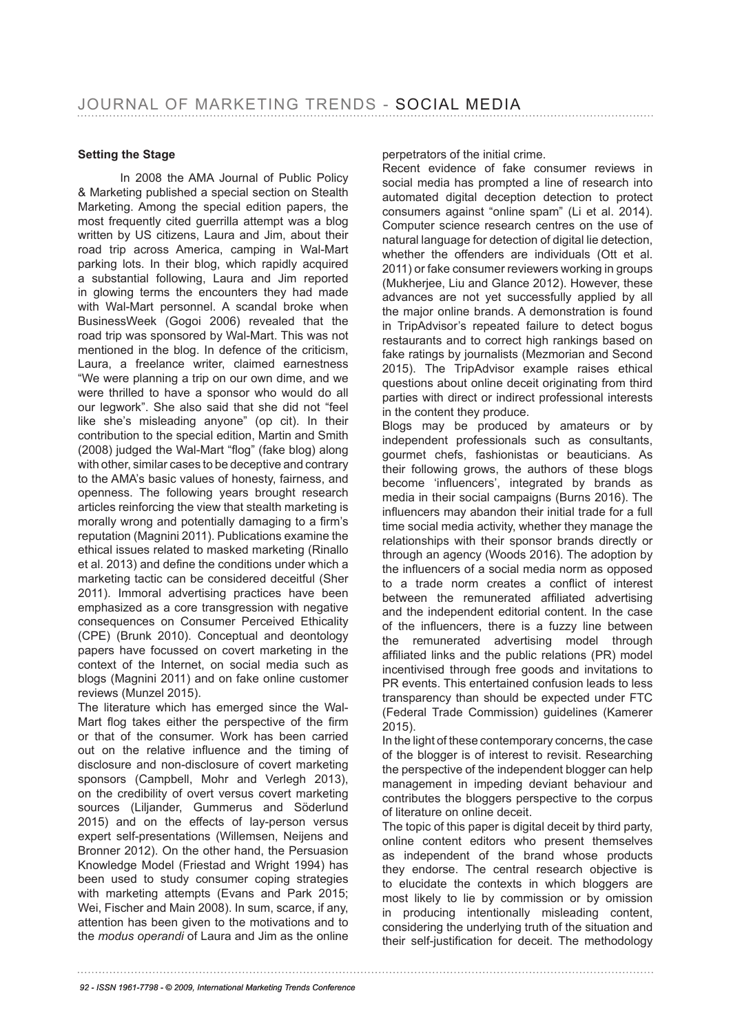## **Setting the Stage**

In 2008 the AMA Journal of Public Policy & Marketing published a special section on Stealth Marketing. Among the special edition papers, the most frequently cited guerrilla attempt was a blog written by US citizens, Laura and Jim, about their road trip across America, camping in Wal-Mart parking lots. In their blog, which rapidly acquired a substantial following, Laura and Jim reported in glowing terms the encounters they had made with Wal-Mart personnel. A scandal broke when BusinessWeek (Gogoi 2006) revealed that the road trip was sponsored by Wal-Mart. This was not mentioned in the blog. In defence of the criticism, Laura, a freelance writer, claimed earnestness "We were planning a trip on our own dime, and we were thrilled to have a sponsor who would do all our legwork". She also said that she did not "feel like she's misleading anyone" (op cit). In their contribution to the special edition, Martin and Smith (2008) judged the Wal-Mart "flog" (fake blog) along with other, similar cases to be deceptive and contrary to the AMA's basic values of honesty, fairness, and openness. The following years brought research articles reinforcing the view that stealth marketing is morally wrong and potentially damaging to a firm's reputation (Magnini 2011). Publications examine the ethical issues related to masked marketing (Rinallo et al. 2013) and defne the conditions under which a marketing tactic can be considered deceitful (Sher 2011). Immoral advertising practices have been emphasized as a core transgression with negative consequences on Consumer Perceived Ethicality (CPE) (Brunk 2010). Conceptual and deontology papers have focussed on covert marketing in the context of the Internet, on social media such as blogs (Magnini 2011) and on fake online customer reviews (Munzel 2015).

The literature which has emerged since the Wal-Mart flog takes either the perspective of the firm or that of the consumer. Work has been carried out on the relative infuence and the timing of disclosure and non-disclosure of covert marketing sponsors (Campbell, Mohr and Verlegh 2013), on the credibility of overt versus covert marketing sources (Liljander, Gummerus and Söderlund 2015) and on the effects of lay-person versus expert self-presentations (Willemsen, Neijens and Bronner 2012). On the other hand, the Persuasion Knowledge Model (Friestad and Wright 1994) has been used to study consumer coping strategies with marketing attempts (Evans and Park 2015; Wei, Fischer and Main 2008). In sum, scarce, if any, attention has been given to the motivations and to the *modus operandi* of Laura and Jim as the online

perpetrators of the initial crime.

Recent evidence of fake consumer reviews in social media has prompted a line of research into automated digital deception detection to protect consumers against "online spam" (Li et al. 2014). Computer science research centres on the use of natural language for detection of digital lie detection, whether the offenders are individuals (Ott et al. 2011) or fake consumer reviewers working in groups (Mukherjee, Liu and Glance 2012). However, these advances are not yet successfully applied by all the major online brands. A demonstration is found in TripAdvisor's repeated failure to detect bogus restaurants and to correct high rankings based on fake ratings by journalists (Mezmorian and Second 2015). The TripAdvisor example raises ethical questions about online deceit originating from third parties with direct or indirect professional interests in the content they produce.

Blogs may be produced by amateurs or by independent professionals such as consultants, gourmet chefs, fashionistas or beauticians. As their following grows, the authors of these blogs become 'infuencers', integrated by brands as media in their social campaigns (Burns 2016). The infuencers may abandon their initial trade for a full time social media activity, whether they manage the relationships with their sponsor brands directly or through an agency (Woods 2016). The adoption by the infuencers of a social media norm as opposed to a trade norm creates a confict of interest between the remunerated affliated advertising and the independent editorial content. In the case of the infuencers, there is a fuzzy line between the remunerated advertising model through affliated links and the public relations (PR) model incentivised through free goods and invitations to PR events. This entertained confusion leads to less transparency than should be expected under FTC (Federal Trade Commission) guidelines (Kamerer 2015).

In the light of these contemporary concerns, the case of the blogger is of interest to revisit. Researching the perspective of the independent blogger can help management in impeding deviant behaviour and contributes the bloggers perspective to the corpus of literature on online deceit.

The topic of this paper is digital deceit by third party, online content editors who present themselves as independent of the brand whose products they endorse. The central research objective is to elucidate the contexts in which bloggers are most likely to lie by commission or by omission in producing intentionally misleading content, considering the underlying truth of the situation and their self-justifcation for deceit. The methodology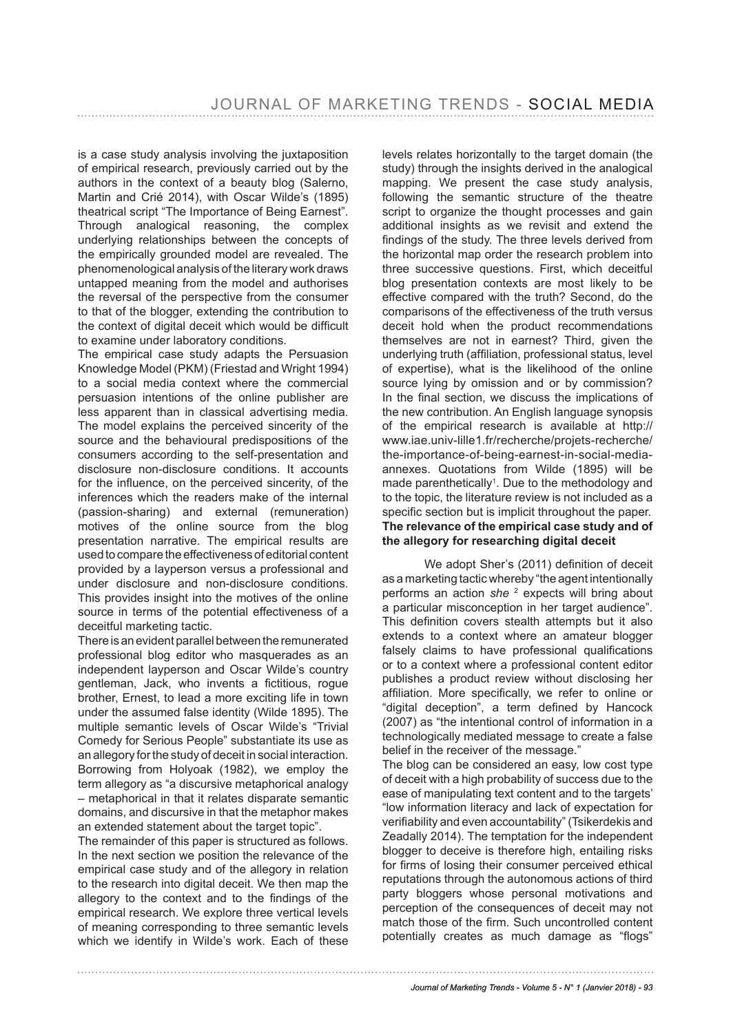is a case study analysis involving the juxtaposition of empirical research, previously carried out by the authors in the context of a beauty blog (Salerno, Martin and Crié 2014), with Oscar Wilde's (1895) theatrical script "The Importance of Being Earnest". Through analogical reasoning, the complex underlying relationships between the concepts of the empirically grounded model are revealed. The phenomenological analysis of the literary work draws untapped meaning from the model and authorises the reversal of the perspective from the consumer to that of the blogger, extending the contribution to the context of digital deceit which would be difficult to examine under laboratory conditions.

The empirical case study adapts the Persuasion Knowledge Model (PKM) (Friestad and Wright 1994) to a social media context where the commercial persuasion intentions of the online publisher are less apparent than in classical advertising media. The model explains the perceived sincerity of the source and the behavioural predispositions of the consumers according to the self-presentation and disclosure non-disclosure conditions. It accounts for the infuence, on the perceived sincerity, of the inferences which the readers make of the internal (passion-sharing) and external (remuneration) motives of the online source from the blog presentation narrative. The empirical results are used to compare the effectiveness of editorial content provided by a layperson versus a professional and under disclosure and non-disclosure conditions. This provides insight into the motives of the online source in terms of the potential effectiveness of a deceitful marketing tactic.

There is an evident parallel between the remunerated professional blog editor who masquerades as an independent layperson and Oscar Wilde's country gentleman, Jack, who invents a fictitious, rogue brother, Ernest, to lead a more exciting life in town under the assumed false identity (Wilde 1895). The multiple semantic levels of Oscar Wilde's "Trivial Comedy for Serious People" substantiate its use as an allegory for the study of deceit in social interaction. Borrowing from Holyoak (1982), we employ the term allegory as "a discursive metaphorical analogy – metaphorical in that it relates disparate semantic domains, and discursive in that the metaphor makes an extended statement about the target topic".

The remainder of this paper is structured as follows. In the next section we position the relevance of the empirical case study and of the allegory in relation to the research into digital deceit. We then map the allegory to the context and to the fndings of the empirical research. We explore three vertical levels of meaning corresponding to three semantic levels which we identify in Wilde's work. Each of these levels relates horizontally to the target domain (the study) through the insights derived in the analogical mapping. We present the case study analysis, following the semantic structure of the theatre script to organize the thought processes and gain additional insights as we revisit and extend the fndings of the study. The three levels derived from the horizontal map order the research problem into three successive questions. First, which deceitful blog presentation contexts are most likely to be effective compared with the truth? Second, do the comparisons of the effectiveness of the truth versus deceit hold when the product recommendations themselves are not in earnest? Third, given the underlying truth (affliation, professional status, level of expertise), what is the likelihood of the online source lying by omission and or by commission? In the final section, we discuss the implications of the new contribution. An English language synopsis of the empirical research is available at http:// www.iae.univ-lille1.fr/recherche/projets-recherche/ the-importance-of-being-earnest-in-social-mediaannexes. Quotations from Wilde (1895) will be made parenthetically<sup>1</sup>. Due to the methodology and to the topic, the literature review is not included as a specific section but is implicit throughout the paper. **The relevance of the empirical case study and of the allegory for researching digital deceit**

We adopt Sher's (2011) definition of deceit as a marketing tactic whereby "the agent intentionally performs an action she <sup>2</sup> expects will bring about a particular misconception in her target audience". This defnition covers stealth attempts but it also extends to a context where an amateur blogger falsely claims to have professional qualifications or to a context where a professional content editor publishes a product review without disclosing her affliation. More specifcally, we refer to online or "digital deception", a term defned by Hancock (2007) as "the intentional control of information in a technologically mediated message to create a false belief in the receiver of the message."

The blog can be considered an easy, low cost type of deceit with a high probability of success due to the ease of manipulating text content and to the targets' "low information literacy and lack of expectation for verifability and even accountability" (Tsikerdekis and Zeadally 2014). The temptation for the independent blogger to deceive is therefore high, entailing risks for firms of losing their consumer perceived ethical reputations through the autonomous actions of third party bloggers whose personal motivations and perception of the consequences of deceit may not match those of the frm. Such uncontrolled content potentially creates as much damage as "flogs"

#### *Journal of Marketing Trends - Volume 5 - N° 1 (Janvier 2018) - 93*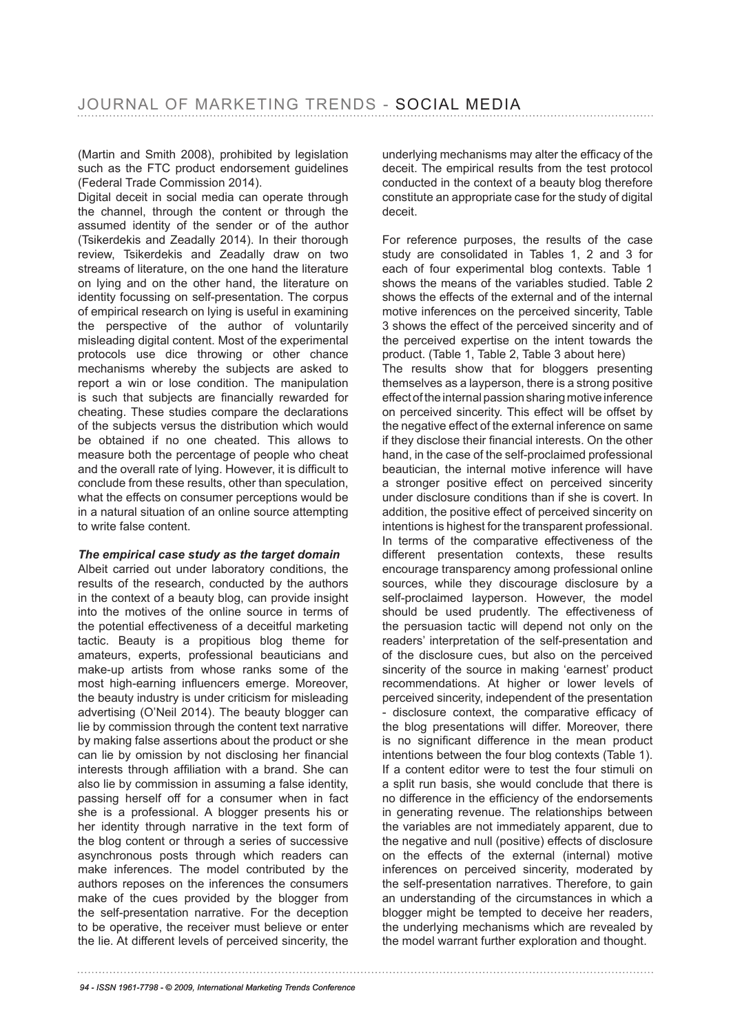(Martin and Smith 2008), prohibited by legislation such as the FTC product endorsement guidelines (Federal Trade Commission 2014).

Digital deceit in social media can operate through the channel, through the content or through the assumed identity of the sender or of the author (Tsikerdekis and Zeadally 2014). In their thorough review, Tsikerdekis and Zeadally draw on two streams of literature, on the one hand the literature on lying and on the other hand, the literature on identity focussing on self-presentation. The corpus of empirical research on lying is useful in examining the perspective of the author of voluntarily misleading digital content. Most of the experimental protocols use dice throwing or other chance mechanisms whereby the subjects are asked to report a win or lose condition. The manipulation is such that subjects are fnancially rewarded for cheating. These studies compare the declarations of the subjects versus the distribution which would be obtained if no one cheated. This allows to measure both the percentage of people who cheat and the overall rate of lying. However, it is difficult to conclude from these results, other than speculation, what the effects on consumer perceptions would be in a natural situation of an online source attempting to write false content.

#### *The empirical case study as the target domain*

Albeit carried out under laboratory conditions, the results of the research, conducted by the authors in the context of a beauty blog, can provide insight into the motives of the online source in terms of the potential effectiveness of a deceitful marketing tactic. Beauty is a propitious blog theme for amateurs, experts, professional beauticians and make-up artists from whose ranks some of the most high-earning infuencers emerge. Moreover, the beauty industry is under criticism for misleading advertising (O'Neil 2014). The beauty blogger can lie by commission through the content text narrative by making false assertions about the product or she can lie by omission by not disclosing her fnancial interests through affliation with a brand. She can also lie by commission in assuming a false identity, passing herself off for a consumer when in fact she is a professional. A blogger presents his or her identity through narrative in the text form of the blog content or through a series of successive asynchronous posts through which readers can make inferences. The model contributed by the authors reposes on the inferences the consumers make of the cues provided by the blogger from the self-presentation narrative. For the deception to be operative, the receiver must believe or enter the lie. At different levels of perceived sincerity, the

underlying mechanisms may alter the efficacy of the deceit. The empirical results from the test protocol conducted in the context of a beauty blog therefore constitute an appropriate case for the study of digital deceit.

For reference purposes, the results of the case study are consolidated in Tables 1, 2 and 3 for each of four experimental blog contexts. Table 1 shows the means of the variables studied. Table 2 shows the effects of the external and of the internal motive inferences on the perceived sincerity, Table 3 shows the effect of the perceived sincerity and of the perceived expertise on the intent towards the product. (Table 1, Table 2, Table 3 about here) The results show that for bloggers presenting themselves as a layperson, there is a strong positive effect of the internal passion sharing motive inference on perceived sincerity. This effect will be offset by the negative effect of the external inference on same if they disclose their fnancial interests. On the other hand, in the case of the self-proclaimed professional beautician, the internal motive inference will have a stronger positive effect on perceived sincerity under disclosure conditions than if she is covert. In addition, the positive effect of perceived sincerity on intentions is highest for the transparent professional. In terms of the comparative effectiveness of the different presentation contexts, these results encourage transparency among professional online sources, while they discourage disclosure by a self-proclaimed layperson. However, the model should be used prudently. The effectiveness of the persuasion tactic will depend not only on the readers' interpretation of the self-presentation and of the disclosure cues, but also on the perceived sincerity of the source in making 'earnest' product recommendations. At higher or lower levels of perceived sincerity, independent of the presentation - disclosure context, the comparative efficacy of the blog presentations will differ. Moreover, there is no signifcant difference in the mean product intentions between the four blog contexts (Table 1). If a content editor were to test the four stimuli on a split run basis, she would conclude that there is no difference in the efficiency of the endorsements in generating revenue. The relationships between the variables are not immediately apparent, due to the negative and null (positive) effects of disclosure on the effects of the external (internal) motive inferences on perceived sincerity, moderated by the self-presentation narratives. Therefore, to gain an understanding of the circumstances in which a blogger might be tempted to deceive her readers, the underlying mechanisms which are revealed by the model warrant further exploration and thought.

*94 - ISSN 1961-7798 - © 2009, International Marketing Trends Conference*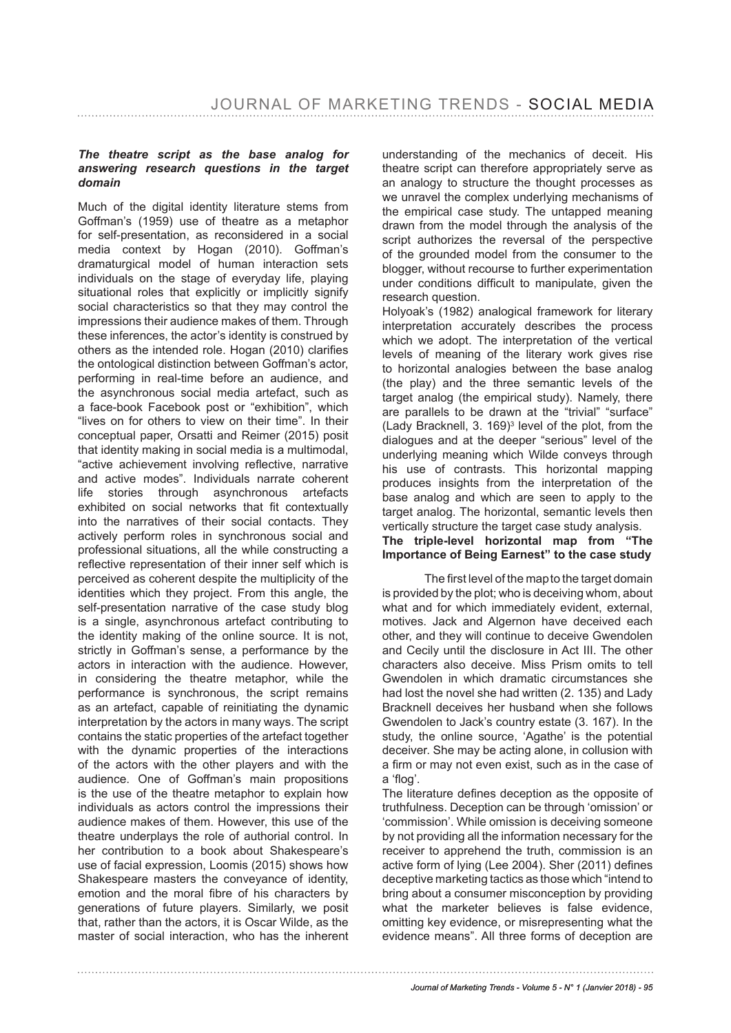#### *The theatre script as the base analog for answering research questions in the target domain*

Much of the digital identity literature stems from Goffman's (1959) use of theatre as a metaphor for self-presentation, as reconsidered in a social media context by Hogan (2010). Goffman's dramaturgical model of human interaction sets individuals on the stage of everyday life, playing situational roles that explicitly or implicitly signify social characteristics so that they may control the impressions their audience makes of them. Through these inferences, the actor's identity is construed by others as the intended role. Hogan (2010) clarifes the ontological distinction between Goffman's actor, performing in real-time before an audience, and the asynchronous social media artefact, such as a face-book Facebook post or "exhibition", which "lives on for others to view on their time". In their conceptual paper, Orsatti and Reimer (2015) posit that identity making in social media is a multimodal, "active achievement involving refective, narrative and active modes". Individuals narrate coherent life stories through asynchronous artefacts exhibited on social networks that fit contextually into the narratives of their social contacts. They actively perform roles in synchronous social and professional situations, all the while constructing a reflective representation of their inner self which is perceived as coherent despite the multiplicity of the identities which they project. From this angle, the self-presentation narrative of the case study blog is a single, asynchronous artefact contributing to the identity making of the online source. It is not, strictly in Goffman's sense, a performance by the actors in interaction with the audience. However, in considering the theatre metaphor, while the performance is synchronous, the script remains as an artefact, capable of reinitiating the dynamic interpretation by the actors in many ways. The script contains the static properties of the artefact together with the dynamic properties of the interactions of the actors with the other players and with the audience. One of Goffman's main propositions is the use of the theatre metaphor to explain how individuals as actors control the impressions their audience makes of them. However, this use of the theatre underplays the role of authorial control. In her contribution to a book about Shakespeare's use of facial expression, Loomis (2015) shows how Shakespeare masters the conveyance of identity, emotion and the moral fibre of his characters by generations of future players. Similarly, we posit that, rather than the actors, it is Oscar Wilde, as the master of social interaction, who has the inherent

understanding of the mechanics of deceit. His theatre script can therefore appropriately serve as an analogy to structure the thought processes as we unravel the complex underlying mechanisms of the empirical case study. The untapped meaning drawn from the model through the analysis of the script authorizes the reversal of the perspective of the grounded model from the consumer to the blogger, without recourse to further experimentation under conditions difficult to manipulate, given the research question.

Holyoak's (1982) analogical framework for literary interpretation accurately describes the process which we adopt. The interpretation of the vertical levels of meaning of the literary work gives rise to horizontal analogies between the base analog (the play) and the three semantic levels of the target analog (the empirical study). Namely, there are parallels to be drawn at the "trivial" "surface" (Lady Bracknell,  $3.169$ <sup>3</sup> level of the plot, from the dialogues and at the deeper "serious" level of the underlying meaning which Wilde conveys through his use of contrasts. This horizontal mapping produces insights from the interpretation of the base analog and which are seen to apply to the target analog. The horizontal, semantic levels then vertically structure the target case study analysis. **The triple-level horizontal map from "The** 

**Importance of Being Earnest" to the case study** 

The first level of the map to the target domain is provided by the plot; who is deceiving whom, about what and for which immediately evident, external, motives. Jack and Algernon have deceived each other, and they will continue to deceive Gwendolen and Cecily until the disclosure in Act III. The other characters also deceive. Miss Prism omits to tell Gwendolen in which dramatic circumstances she had lost the novel she had written (2. 135) and Lady Bracknell deceives her husband when she follows Gwendolen to Jack's country estate (3. 167). In the study, the online source, 'Agathe' is the potential deceiver. She may be acting alone, in collusion with a frm or may not even exist, such as in the case of a 'flog'.

The literature defnes deception as the opposite of truthfulness. Deception can be through 'omission' or 'commission'. While omission is deceiving someone by not providing all the information necessary for the receiver to apprehend the truth, commission is an active form of lying (Lee 2004). Sher (2011) defnes deceptive marketing tactics as those which "intend to bring about a consumer misconception by providing what the marketer believes is false evidence, omitting key evidence, or misrepresenting what the evidence means". All three forms of deception are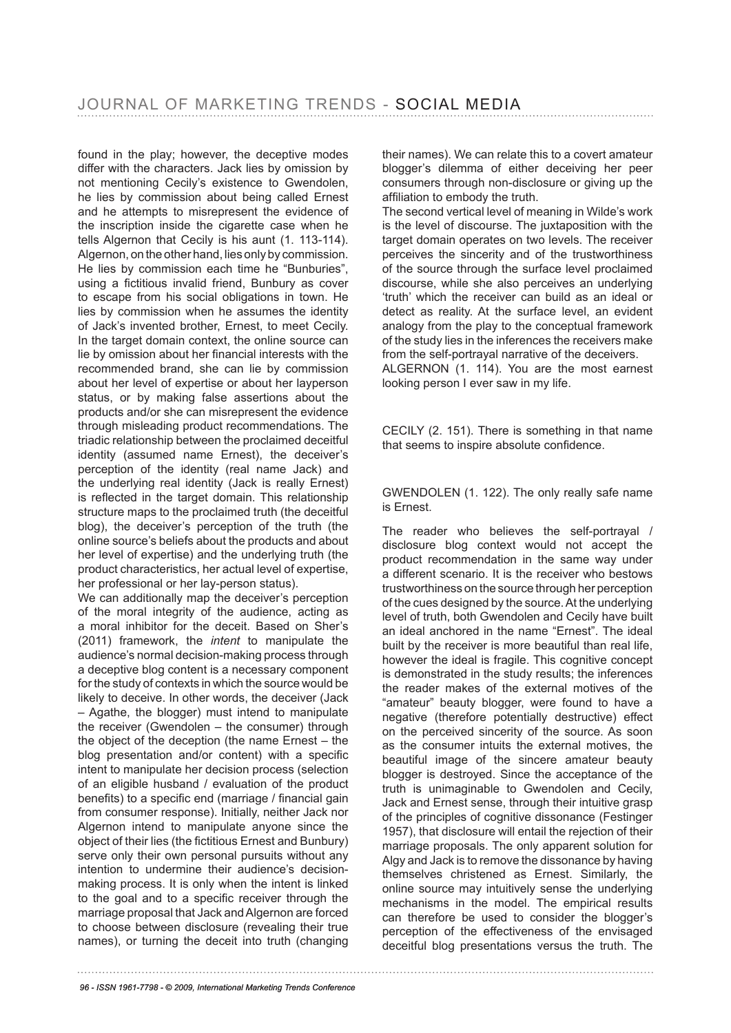found in the play; however, the deceptive modes differ with the characters. Jack lies by omission by not mentioning Cecily's existence to Gwendolen, he lies by commission about being called Ernest and he attempts to misrepresent the evidence of the inscription inside the cigarette case when he tells Algernon that Cecily is his aunt (1. 113-114). Algernon, on the other hand, lies only by commission. He lies by commission each time he "Bunburies", using a fictitious invalid friend, Bunbury as cover to escape from his social obligations in town. He lies by commission when he assumes the identity of Jack's invented brother, Ernest, to meet Cecily. In the target domain context, the online source can lie by omission about her fnancial interests with the recommended brand, she can lie by commission about her level of expertise or about her layperson status, or by making false assertions about the products and/or she can misrepresent the evidence through misleading product recommendations. The triadic relationship between the proclaimed deceitful identity (assumed name Ernest), the deceiver's perception of the identity (real name Jack) and the underlying real identity (Jack is really Ernest) is refected in the target domain. This relationship structure maps to the proclaimed truth (the deceitful blog), the deceiver's perception of the truth (the online source's beliefs about the products and about her level of expertise) and the underlying truth (the product characteristics, her actual level of expertise, her professional or her lay-person status).

We can additionally map the deceiver's perception of the moral integrity of the audience, acting as a moral inhibitor for the deceit. Based on Sher's (2011) framework, the *intent* to manipulate the audience's normal decision-making process through a deceptive blog content is a necessary component for the study of contexts in which the source would be likely to deceive. In other words, the deceiver (Jack – Agathe, the blogger) must intend to manipulate the receiver (Gwendolen – the consumer) through the object of the deception (the name Ernest – the blog presentation and/or content) with a specific intent to manipulate her decision process (selection of an eligible husband / evaluation of the product benefits) to a specific end (marriage / financial gain from consumer response). Initially, neither Jack nor Algernon intend to manipulate anyone since the object of their lies (the fictitious Ernest and Bunbury) serve only their own personal pursuits without any intention to undermine their audience's decisionmaking process. It is only when the intent is linked to the goal and to a specifc receiver through the marriage proposal that Jack and Algernon are forced to choose between disclosure (revealing their true names), or turning the deceit into truth (changing

their names). We can relate this to a covert amateur blogger's dilemma of either deceiving her peer consumers through non-disclosure or giving up the affliation to embody the truth.

The second vertical level of meaning in Wilde's work is the level of discourse. The juxtaposition with the target domain operates on two levels. The receiver perceives the sincerity and of the trustworthiness of the source through the surface level proclaimed discourse, while she also perceives an underlying 'truth' which the receiver can build as an ideal or detect as reality. At the surface level, an evident analogy from the play to the conceptual framework of the study lies in the inferences the receivers make from the self-portrayal narrative of the deceivers.

ALGERNON (1. 114). You are the most earnest looking person I ever saw in my life.

CECILY (2. 151). There is something in that name that seems to inspire absolute confidence.

GWENDOLEN (1. 122). The only really safe name is Ernest.

The reader who believes the self-portrayal / disclosure blog context would not accept the product recommendation in the same way under a different scenario. It is the receiver who bestows trustworthiness on the source through her perception of the cues designed by the source. At the underlying level of truth, both Gwendolen and Cecily have built an ideal anchored in the name "Ernest". The ideal built by the receiver is more beautiful than real life, however the ideal is fragile. This cognitive concept is demonstrated in the study results; the inferences the reader makes of the external motives of the "amateur" beauty blogger, were found to have a negative (therefore potentially destructive) effect on the perceived sincerity of the source. As soon as the consumer intuits the external motives, the beautiful image of the sincere amateur beauty blogger is destroyed. Since the acceptance of the truth is unimaginable to Gwendolen and Cecily, Jack and Ernest sense, through their intuitive grasp of the principles of cognitive dissonance (Festinger 1957), that disclosure will entail the rejection of their marriage proposals. The only apparent solution for Algy and Jack is to remove the dissonance by having themselves christened as Ernest. Similarly, the online source may intuitively sense the underlying mechanisms in the model. The empirical results can therefore be used to consider the blogger's perception of the effectiveness of the envisaged deceitful blog presentations versus the truth. The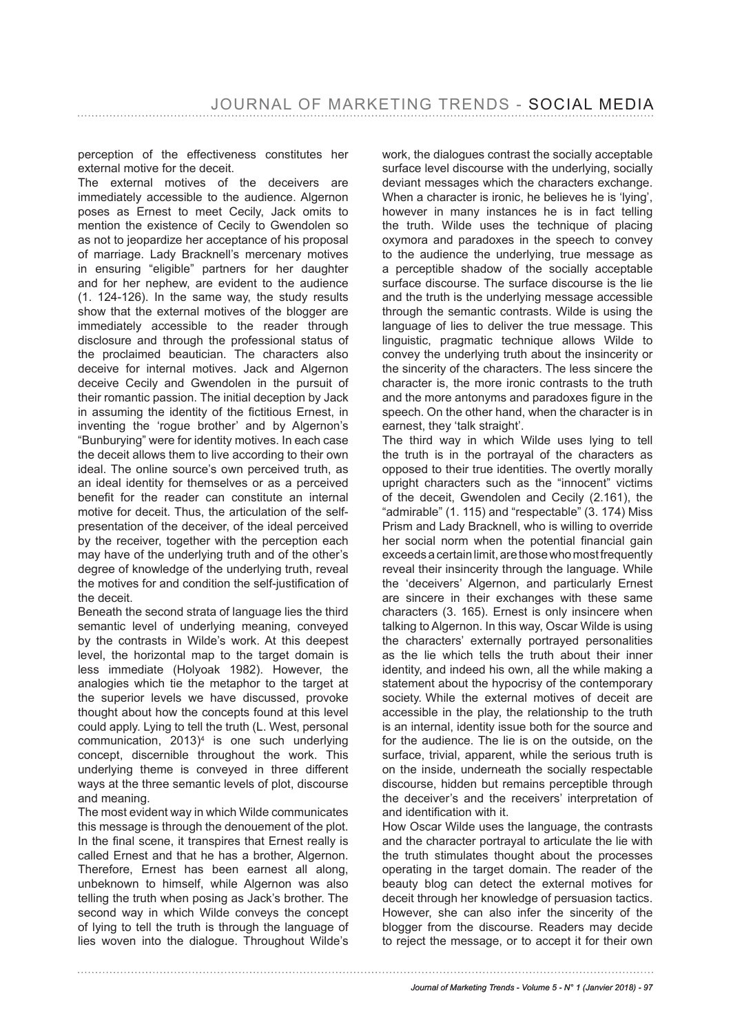perception of the effectiveness constitutes her external motive for the deceit.

The external motives of the deceivers are immediately accessible to the audience. Algernon poses as Ernest to meet Cecily, Jack omits to mention the existence of Cecily to Gwendolen so as not to jeopardize her acceptance of his proposal of marriage. Lady Bracknell's mercenary motives in ensuring "eligible" partners for her daughter and for her nephew, are evident to the audience (1. 124-126). In the same way, the study results show that the external motives of the blogger are immediately accessible to the reader through disclosure and through the professional status of the proclaimed beautician. The characters also deceive for internal motives. Jack and Algernon deceive Cecily and Gwendolen in the pursuit of their romantic passion. The initial deception by Jack in assuming the identity of the fictitious Ernest, in inventing the 'rogue brother' and by Algernon's "Bunburying" were for identity motives. In each case the deceit allows them to live according to their own ideal. The online source's own perceived truth, as an ideal identity for themselves or as a perceived beneft for the reader can constitute an internal motive for deceit. Thus, the articulation of the selfpresentation of the deceiver, of the ideal perceived by the receiver, together with the perception each may have of the underlying truth and of the other's degree of knowledge of the underlying truth, reveal the motives for and condition the self-justifcation of the deceit.

Beneath the second strata of language lies the third semantic level of underlying meaning, conveyed by the contrasts in Wilde's work. At this deepest level, the horizontal map to the target domain is less immediate (Holyoak 1982). However, the analogies which tie the metaphor to the target at the superior levels we have discussed, provoke thought about how the concepts found at this level could apply. Lying to tell the truth (L. West, personal  $common, 2013$ <sup>4</sup> is one such underlying concept, discernible throughout the work. This underlying theme is conveyed in three different ways at the three semantic levels of plot, discourse and meaning.

The most evident way in which Wilde communicates this message is through the denouement of the plot. In the final scene, it transpires that Ernest really is called Ernest and that he has a brother, Algernon. Therefore, Ernest has been earnest all along, unbeknown to himself, while Algernon was also telling the truth when posing as Jack's brother. The second way in which Wilde conveys the concept of lying to tell the truth is through the language of lies woven into the dialogue. Throughout Wilde's work, the dialogues contrast the socially acceptable surface level discourse with the underlying, socially deviant messages which the characters exchange. When a character is ironic, he believes he is 'lying'. however in many instances he is in fact telling the truth. Wilde uses the technique of placing oxymora and paradoxes in the speech to convey to the audience the underlying, true message as a perceptible shadow of the socially acceptable surface discourse. The surface discourse is the lie and the truth is the underlying message accessible through the semantic contrasts. Wilde is using the language of lies to deliver the true message. This linguistic, pragmatic technique allows Wilde to convey the underlying truth about the insincerity or the sincerity of the characters. The less sincere the character is, the more ironic contrasts to the truth and the more antonyms and paradoxes figure in the speech. On the other hand, when the character is in earnest, they 'talk straight'.

The third way in which Wilde uses lying to tell the truth is in the portrayal of the characters as opposed to their true identities. The overtly morally upright characters such as the "innocent" victims of the deceit, Gwendolen and Cecily (2.161), the "admirable" (1. 115) and "respectable" (3. 174) Miss Prism and Lady Bracknell, who is willing to override her social norm when the potential fnancial gain exceeds a certain limit, are those who most frequently reveal their insincerity through the language. While the 'deceivers' Algernon, and particularly Ernest are sincere in their exchanges with these same characters (3. 165). Ernest is only insincere when talking to Algernon. In this way, Oscar Wilde is using the characters' externally portrayed personalities as the lie which tells the truth about their inner identity, and indeed his own, all the while making a statement about the hypocrisy of the contemporary society. While the external motives of deceit are accessible in the play, the relationship to the truth is an internal, identity issue both for the source and for the audience. The lie is on the outside, on the surface, trivial, apparent, while the serious truth is on the inside, underneath the socially respectable discourse, hidden but remains perceptible through the deceiver's and the receivers' interpretation of and identification with it.

How Oscar Wilde uses the language, the contrasts and the character portrayal to articulate the lie with the truth stimulates thought about the processes operating in the target domain. The reader of the beauty blog can detect the external motives for deceit through her knowledge of persuasion tactics. However, she can also infer the sincerity of the blogger from the discourse. Readers may decide to reject the message, or to accept it for their own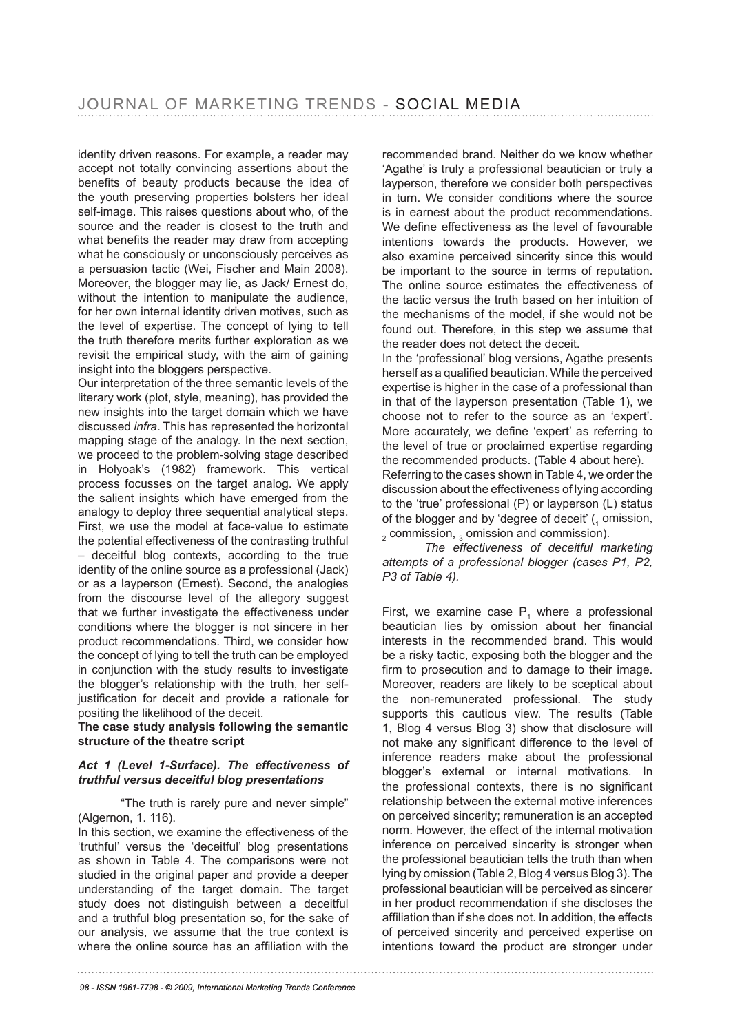identity driven reasons. For example, a reader may accept not totally convincing assertions about the benefits of beauty products because the idea of the youth preserving properties bolsters her ideal self-image. This raises questions about who, of the source and the reader is closest to the truth and what benefits the reader may draw from accepting what he consciously or unconsciously perceives as a persuasion tactic (Wei, Fischer and Main 2008). Moreover, the blogger may lie, as Jack/ Ernest do, without the intention to manipulate the audience, for her own internal identity driven motives, such as the level of expertise. The concept of lying to tell the truth therefore merits further exploration as we revisit the empirical study, with the aim of gaining insight into the bloggers perspective.

Our interpretation of the three semantic levels of the literary work (plot, style, meaning), has provided the new insights into the target domain which we have discussed *infra*. This has represented the horizontal mapping stage of the analogy. In the next section, we proceed to the problem-solving stage described in Holyoak's (1982) framework. This vertical process focusses on the target analog. We apply the salient insights which have emerged from the analogy to deploy three sequential analytical steps. First, we use the model at face-value to estimate the potential effectiveness of the contrasting truthful – deceitful blog contexts, according to the true identity of the online source as a professional (Jack) or as a layperson (Ernest). Second, the analogies from the discourse level of the allegory suggest that we further investigate the effectiveness under conditions where the blogger is not sincere in her product recommendations. Third, we consider how the concept of lying to tell the truth can be employed in conjunction with the study results to investigate the blogger's relationship with the truth, her selfjustifcation for deceit and provide a rationale for positing the likelihood of the deceit.

#### **The case study analysis following the semantic structure of the theatre script**

## *Act 1 (Level 1-Surface). The effectiveness of truthful versus deceitful blog presentations*

"The truth is rarely pure and never simple" (Algernon, 1. 116).

In this section, we examine the effectiveness of the 'truthful' versus the 'deceitful' blog presentations as shown in Table 4. The comparisons were not studied in the original paper and provide a deeper understanding of the target domain. The target study does not distinguish between a deceitful and a truthful blog presentation so, for the sake of our analysis, we assume that the true context is where the online source has an affliation with the

recommended brand. Neither do we know whether 'Agathe' is truly a professional beautician or truly a layperson, therefore we consider both perspectives in turn. We consider conditions where the source is in earnest about the product recommendations. We define effectiveness as the level of favourable intentions towards the products. However, we also examine perceived sincerity since this would be important to the source in terms of reputation. The online source estimates the effectiveness of the tactic versus the truth based on her intuition of the mechanisms of the model, if she would not be found out. Therefore, in this step we assume that the reader does not detect the deceit.

In the 'professional' blog versions, Agathe presents herself as a qualifed beautician. While the perceived expertise is higher in the case of a professional than in that of the layperson presentation (Table 1), we choose not to refer to the source as an 'expert'. More accurately, we defne 'expert' as referring to the level of true or proclaimed expertise regarding the recommended products. (Table 4 about here). Referring to the cases shown in Table 4, we order the discussion about the effectiveness of lying according to the 'true' professional (P) or layperson (L) status of the blogger and by 'degree of deceit'  $($ <sub>1</sub> omission,  $_2$  commission,  $_3$  omission and commission).

*The effectiveness of deceitful marketing attempts of a professional blogger (cases P1, P2, P3 of Table 4).* 

First, we examine case  $P_1$  where a professional beautician lies by omission about her fnancial interests in the recommended brand. This would be a risky tactic, exposing both the blogger and the frm to prosecution and to damage to their image. Moreover, readers are likely to be sceptical about the non-remunerated professional. The study supports this cautious view. The results (Table 1, Blog 4 versus Blog 3) show that disclosure will not make any signifcant difference to the level of inference readers make about the professional blogger's external or internal motivations. In the professional contexts, there is no signifcant relationship between the external motive inferences on perceived sincerity; remuneration is an accepted norm. However, the effect of the internal motivation inference on perceived sincerity is stronger when the professional beautician tells the truth than when lying by omission (Table 2, Blog 4 versus Blog 3). The professional beautician will be perceived as sincerer in her product recommendation if she discloses the affliation than if she does not. In addition, the effects of perceived sincerity and perceived expertise on intentions toward the product are stronger under

*98 - ISSN 1961-7798 - © 2009, International Marketing Trends Conference*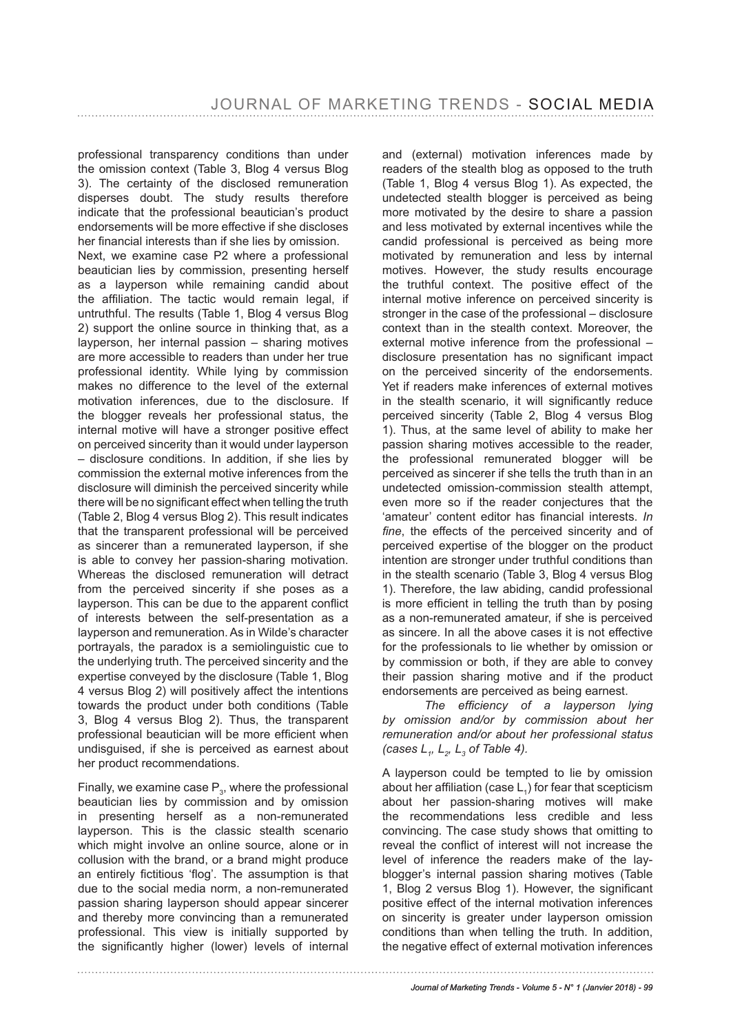professional transparency conditions than under the omission context (Table 3, Blog 4 versus Blog 3). The certainty of the disclosed remuneration disperses doubt. The study results therefore indicate that the professional beautician's product endorsements will be more effective if she discloses her fnancial interests than if she lies by omission. Next, we examine case P2 where a professional beautician lies by commission, presenting herself as a layperson while remaining candid about the affliation. The tactic would remain legal, if untruthful. The results (Table 1, Blog 4 versus Blog 2) support the online source in thinking that, as a layperson, her internal passion – sharing motives are more accessible to readers than under her true professional identity. While Iving by commission makes no difference to the level of the external motivation inferences, due to the disclosure. If the blogger reveals her professional status, the internal motive will have a stronger positive effect on perceived sincerity than it would under layperson – disclosure conditions. In addition, if she lies by commission the external motive inferences from the disclosure will diminish the perceived sincerity while there will be no signifcant effect when telling the truth (Table 2, Blog 4 versus Blog 2). This result indicates that the transparent professional will be perceived as sincerer than a remunerated layperson, if she is able to convey her passion-sharing motivation. Whereas the disclosed remuneration will detract from the perceived sincerity if she poses as a layperson. This can be due to the apparent confict of interests between the self-presentation as a layperson and remuneration. As in Wilde's character portrayals, the paradox is a semiolinguistic cue to the underlying truth. The perceived sincerity and the expertise conveyed by the disclosure (Table 1, Blog 4 versus Blog 2) will positively affect the intentions towards the product under both conditions (Table 3, Blog 4 versus Blog 2). Thus, the transparent professional beautician will be more efficient when undisguised, if she is perceived as earnest about her product recommendations.

Finally, we examine case  $P_3$ , where the professional beautician lies by commission and by omission in presenting herself as a non-remunerated layperson. This is the classic stealth scenario which might involve an online source, alone or in collusion with the brand, or a brand might produce an entirely fictitious 'flog'. The assumption is that due to the social media norm, a non-remunerated passion sharing layperson should appear sincerer and thereby more convincing than a remunerated professional. This view is initially supported by the signifcantly higher (lower) levels of internal

and (external) motivation inferences made by readers of the stealth blog as opposed to the truth (Table 1, Blog 4 versus Blog 1). As expected, the undetected stealth blogger is perceived as being more motivated by the desire to share a passion and less motivated by external incentives while the candid professional is perceived as being more motivated by remuneration and less by internal motives. However, the study results encourage the truthful context. The positive effect of the internal motive inference on perceived sincerity is stronger in the case of the professional – disclosure context than in the stealth context. Moreover, the external motive inference from the professional – disclosure presentation has no significant impact on the perceived sincerity of the endorsements. Yet if readers make inferences of external motives in the stealth scenario, it will signifcantly reduce perceived sincerity (Table 2, Blog 4 versus Blog 1). Thus, at the same level of ability to make her passion sharing motives accessible to the reader, the professional remunerated blogger will be perceived as sincerer if she tells the truth than in an undetected omission-commission stealth attempt, even more so if the reader conjectures that the 'amateur' content editor has fnancial interests. *In fne*, the effects of the perceived sincerity and of perceived expertise of the blogger on the product intention are stronger under truthful conditions than in the stealth scenario (Table 3, Blog 4 versus Blog 1). Therefore, the law abiding, candid professional is more efficient in telling the truth than by posing as a non-remunerated amateur, if she is perceived as sincere. In all the above cases it is not effective for the professionals to lie whether by omission or by commission or both, if they are able to convey their passion sharing motive and if the product endorsements are perceived as being earnest.

The efficiency of a layperson lying *by omission and/or by commission about her remuneration and/or about her professional status*  (cases  $L_1$ ,  $L_2$ ,  $L_3$  of Table 4).

A layperson could be tempted to lie by omission about her affiliation (case  $L_1$ ) for fear that scepticism about her passion-sharing motives will make the recommendations less credible and less convincing. The case study shows that omitting to reveal the confict of interest will not increase the level of inference the readers make of the layblogger's internal passion sharing motives (Table 1, Blog 2 versus Blog 1). However, the signifcant positive effect of the internal motivation inferences on sincerity is greater under layperson omission conditions than when telling the truth. In addition, the negative effect of external motivation inferences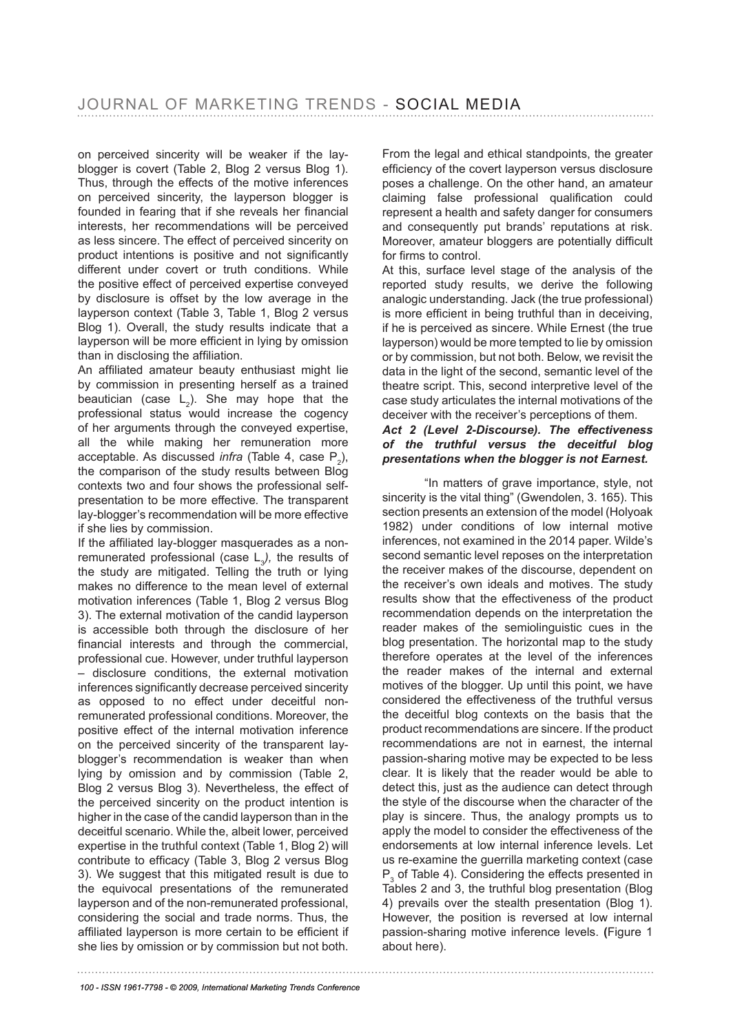on perceived sincerity will be weaker if the layblogger is covert (Table 2, Blog 2 versus Blog 1). Thus, through the effects of the motive inferences on perceived sincerity, the layperson blogger is founded in fearing that if she reveals her fnancial interests, her recommendations will be perceived as less sincere. The effect of perceived sincerity on product intentions is positive and not significantly different under covert or truth conditions. While the positive effect of perceived expertise conveyed by disclosure is offset by the low average in the layperson context (Table 3, Table 1, Blog 2 versus Blog 1). Overall, the study results indicate that a layperson will be more efficient in lying by omission than in disclosing the affliation.

An affliated amateur beauty enthusiast might lie by commission in presenting herself as a trained beautician (case  $L_2$ ). She may hope that the professional status would increase the cogency of her arguments through the conveyed expertise, all the while making her remuneration more acceptable. As discussed *infra* (Table 4, case P<sub>2</sub>), the comparison of the study results between Blog contexts two and four shows the professional selfpresentation to be more effective*.* The transparent lay-blogger's recommendation will be more effective if she lies by commission.

If the affliated lay-blogger masquerades as a nonremunerated professional (case L<sub>3</sub>), the results of the study are mitigated. Telling the truth or lying makes no difference to the mean level of external motivation inferences (Table 1, Blog 2 versus Blog 3). The external motivation of the candid layperson is accessible both through the disclosure of her fnancial interests and through the commercial, professional cue. However, under truthful layperson – disclosure conditions, the external motivation inferences signifcantly decrease perceived sincerity as opposed to no effect under deceitful nonremunerated professional conditions. Moreover, the positive effect of the internal motivation inference on the perceived sincerity of the transparent layblogger's recommendation is weaker than when lying by omission and by commission (Table 2, Blog 2 versus Blog 3). Nevertheless, the effect of the perceived sincerity on the product intention is higher in the case of the candid layperson than in the deceitful scenario. While the, albeit lower, perceived expertise in the truthful context (Table 1, Blog 2) will contribute to efficacy (Table 3, Blog 2 versus Blog 3). We suggest that this mitigated result is due to the equivocal presentations of the remunerated layperson and of the non-remunerated professional, considering the social and trade norms. Thus, the affiliated layperson is more certain to be efficient if she lies by omission or by commission but not both.

From the legal and ethical standpoints, the greater efficiency of the covert layperson versus disclosure poses a challenge. On the other hand, an amateur claiming false professional qualification could represent a health and safety danger for consumers and consequently put brands' reputations at risk. Moreover, amateur bloggers are potentially difficult for firms to control.

At this, surface level stage of the analysis of the reported study results, we derive the following analogic understanding. Jack (the true professional) is more efficient in being truthful than in deceiving, if he is perceived as sincere. While Ernest (the true layperson) would be more tempted to lie by omission or by commission, but not both. Below, we revisit the data in the light of the second, semantic level of the theatre script. This, second interpretive level of the case study articulates the internal motivations of the deceiver with the receiver's perceptions of them.

#### *Act 2 (Level 2-Discourse). The effectiveness of the truthful versus the deceitful blog presentations when the blogger is not Earnest.*

"In matters of grave importance, style, not sincerity is the vital thing" (Gwendolen, 3. 165). This section presents an extension of the model (Holyoak 1982) under conditions of low internal motive inferences, not examined in the 2014 paper. Wilde's second semantic level reposes on the interpretation the receiver makes of the discourse, dependent on the receiver's own ideals and motives. The study results show that the effectiveness of the product recommendation depends on the interpretation the reader makes of the semiolinguistic cues in the blog presentation. The horizontal map to the study therefore operates at the level of the inferences the reader makes of the internal and external motives of the blogger. Up until this point, we have considered the effectiveness of the truthful versus the deceitful blog contexts on the basis that the product recommendations are sincere. If the product recommendations are not in earnest, the internal passion-sharing motive may be expected to be less clear. It is likely that the reader would be able to detect this, just as the audience can detect through the style of the discourse when the character of the play is sincere. Thus, the analogy prompts us to apply the model to consider the effectiveness of the endorsements at low internal inference levels. Let us re-examine the guerrilla marketing context (case  $P_3$  of Table 4). Considering the effects presented in Tables 2 and 3, the truthful blog presentation (Blog 4) prevails over the stealth presentation (Blog 1). However, the position is reversed at low internal passion-sharing motive inference levels. **(**Figure 1 about here).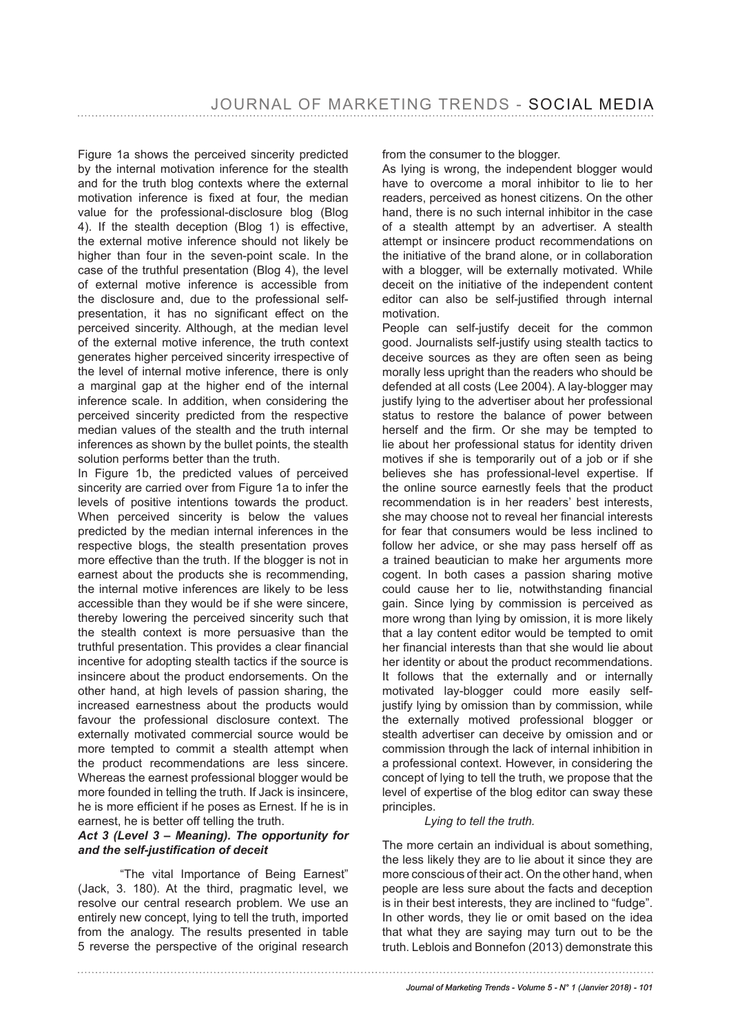Figure 1a shows the perceived sincerity predicted by the internal motivation inference for the stealth and for the truth blog contexts where the external motivation inference is fxed at four, the median value for the professional-disclosure blog (Blog 4). If the stealth deception (Blog 1) is effective, the external motive inference should not likely be higher than four in the seven-point scale. In the case of the truthful presentation (Blog 4), the level of external motive inference is accessible from the disclosure and, due to the professional selfpresentation, it has no signifcant effect on the perceived sincerity. Although, at the median level of the external motive inference, the truth context generates higher perceived sincerity irrespective of the level of internal motive inference, there is only a marginal gap at the higher end of the internal inference scale. In addition, when considering the perceived sincerity predicted from the respective median values of the stealth and the truth internal inferences as shown by the bullet points, the stealth solution performs better than the truth.

In Figure 1b, the predicted values of perceived sincerity are carried over from Figure 1a to infer the levels of positive intentions towards the product. When perceived sincerity is below the values predicted by the median internal inferences in the respective blogs, the stealth presentation proves more effective than the truth. If the blogger is not in earnest about the products she is recommending, the internal motive inferences are likely to be less accessible than they would be if she were sincere, thereby lowering the perceived sincerity such that the stealth context is more persuasive than the truthful presentation. This provides a clear fnancial incentive for adopting stealth tactics if the source is insincere about the product endorsements. On the other hand, at high levels of passion sharing, the increased earnestness about the products would favour the professional disclosure context. The externally motivated commercial source would be more tempted to commit a stealth attempt when the product recommendations are less sincere. Whereas the earnest professional blogger would be more founded in telling the truth. If Jack is insincere, he is more efficient if he poses as Ernest. If he is in earnest, he is better off telling the truth.

#### *Act 3 (Level 3 – Meaning). The opportunity for and the self-justifcation of deceit*

"The vital Importance of Being Earnest" (Jack, 3. 180). At the third, pragmatic level, we resolve our central research problem. We use an entirely new concept, lying to tell the truth, imported from the analogy. The results presented in table 5 reverse the perspective of the original research from the consumer to the blogger.

As lying is wrong, the independent blogger would have to overcome a moral inhibitor to lie to her readers, perceived as honest citizens. On the other hand, there is no such internal inhibitor in the case of a stealth attempt by an advertiser. A stealth attempt or insincere product recommendations on the initiative of the brand alone, or in collaboration with a blogger, will be externally motivated. While deceit on the initiative of the independent content editor can also be self-justifed through internal motivation.

People can self-justify deceit for the common good. Journalists self-justify using stealth tactics to deceive sources as they are often seen as being morally less upright than the readers who should be defended at all costs (Lee 2004). A lay-blogger may justify lying to the advertiser about her professional status to restore the balance of power between herself and the frm. Or she may be tempted to lie about her professional status for identity driven motives if she is temporarily out of a job or if she believes she has professional-level expertise. If the online source earnestly feels that the product recommendation is in her readers' best interests, she may choose not to reveal her fnancial interests for fear that consumers would be less inclined to follow her advice, or she may pass herself off as a trained beautician to make her arguments more cogent. In both cases a passion sharing motive could cause her to lie, notwithstanding fnancial gain. Since lying by commission is perceived as more wrong than lying by omission, it is more likely that a lay content editor would be tempted to omit her fnancial interests than that she would lie about her identity or about the product recommendations. It follows that the externally and or internally motivated lay-blogger could more easily selfjustify lying by omission than by commission, while the externally motived professional blogger or stealth advertiser can deceive by omission and or commission through the lack of internal inhibition in a professional context. However, in considering the concept of lying to tell the truth, we propose that the level of expertise of the blog editor can sway these principles.

#### *Lying to tell the truth.*

The more certain an individual is about something, the less likely they are to lie about it since they are more conscious of their act. On the other hand, when people are less sure about the facts and deception is in their best interests, they are inclined to "fudge". In other words, they lie or omit based on the idea that what they are saying may turn out to be the truth. Leblois and Bonnefon (2013) demonstrate this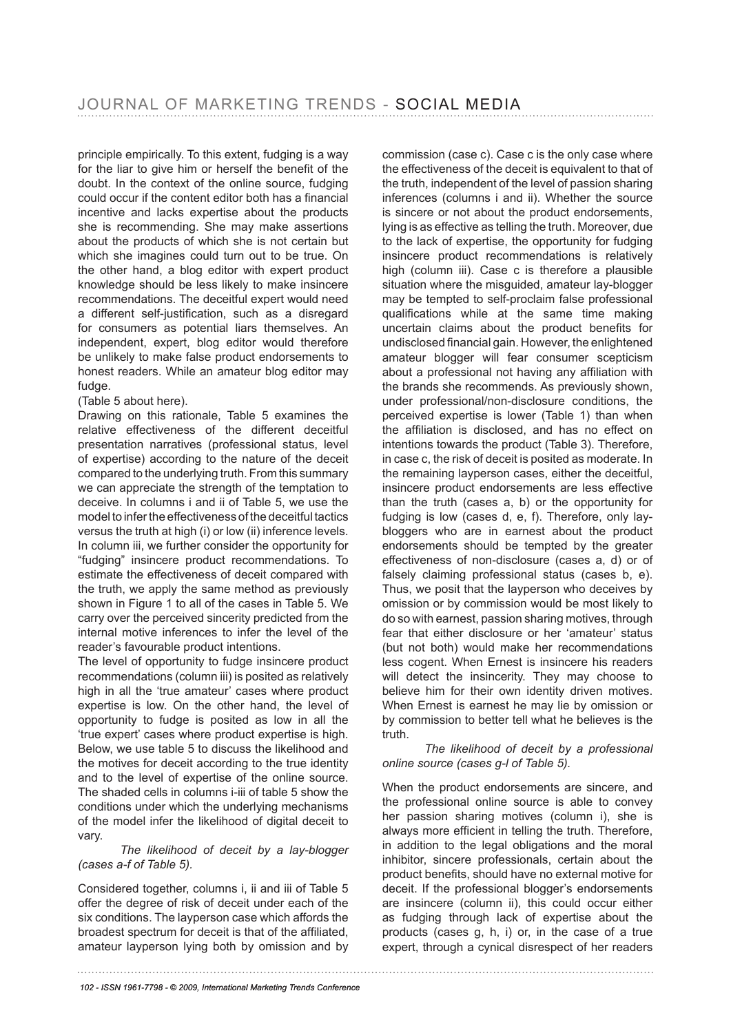principle empirically. To this extent, fudging is a way for the liar to give him or herself the benefit of the doubt. In the context of the online source, fudging could occur if the content editor both has a fnancial incentive and lacks expertise about the products she is recommending. She may make assertions about the products of which she is not certain but which she imagines could turn out to be true. On the other hand, a blog editor with expert product knowledge should be less likely to make insincere recommendations. The deceitful expert would need a different self-justifcation, such as a disregard for consumers as potential liars themselves. An independent, expert, blog editor would therefore be unlikely to make false product endorsements to honest readers. While an amateur blog editor may fudge.

#### (Table 5 about here).

Drawing on this rationale, Table 5 examines the relative effectiveness of the different deceitful presentation narratives (professional status, level of expertise) according to the nature of the deceit compared to the underlying truth. From this summary we can appreciate the strength of the temptation to deceive. In columns i and ii of Table 5, we use the model to infer the effectiveness of the deceitful tactics versus the truth at high (i) or low (ii) inference levels. In column iii, we further consider the opportunity for "fudging" insincere product recommendations. To estimate the effectiveness of deceit compared with the truth, we apply the same method as previously shown in Figure 1 to all of the cases in Table 5. We carry over the perceived sincerity predicted from the internal motive inferences to infer the level of the reader's favourable product intentions.

The level of opportunity to fudge insincere product recommendations (column iii) is posited as relatively high in all the 'true amateur' cases where product expertise is low. On the other hand, the level of opportunity to fudge is posited as low in all the 'true expert' cases where product expertise is high. Below, we use table 5 to discuss the likelihood and the motives for deceit according to the true identity and to the level of expertise of the online source. The shaded cells in columns i-iii of table 5 show the conditions under which the underlying mechanisms of the model infer the likelihood of digital deceit to vary.

#### *The likelihood of deceit by a lay-blogger (cases a-f of Table 5).*

Considered together, columns i, ii and iii of Table 5 offer the degree of risk of deceit under each of the six conditions. The layperson case which affords the broadest spectrum for deceit is that of the affliated, amateur layperson lying both by omission and by

commission (case c). Case c is the only case where the effectiveness of the deceit is equivalent to that of the truth, independent of the level of passion sharing inferences (columns i and ii). Whether the source is sincere or not about the product endorsements, lying is as effective as telling the truth. Moreover, due to the lack of expertise, the opportunity for fudging insincere product recommendations is relatively high (column iii). Case c is therefore a plausible situation where the misguided, amateur lay-blogger may be tempted to self-proclaim false professional qualifcations while at the same time making uncertain claims about the product benefits for undisclosed fnancial gain. However, the enlightened amateur blogger will fear consumer scepticism about a professional not having any affliation with the brands she recommends. As previously shown, under professional/non-disclosure conditions, the perceived expertise is lower (Table 1) than when the affliation is disclosed, and has no effect on intentions towards the product (Table 3). Therefore, in case c, the risk of deceit is posited as moderate. In the remaining layperson cases, either the deceitful, insincere product endorsements are less effective than the truth (cases a, b) or the opportunity for fudging is low (cases d, e, f). Therefore, only laybloggers who are in earnest about the product endorsements should be tempted by the greater effectiveness of non-disclosure (cases a, d) or of falsely claiming professional status (cases b, e). Thus, we posit that the layperson who deceives by omission or by commission would be most likely to do so with earnest, passion sharing motives, through fear that either disclosure or her 'amateur' status (but not both) would make her recommendations less cogent. When Ernest is insincere his readers will detect the insincerity. They may choose to believe him for their own identity driven motives. When Ernest is earnest he may lie by omission or by commission to better tell what he believes is the truth.

#### *The likelihood of deceit by a professional online source (cases g-l of Table 5).*

When the product endorsements are sincere, and the professional online source is able to convey her passion sharing motives (column i), she is always more efficient in telling the truth. Therefore, in addition to the legal obligations and the moral inhibitor, sincere professionals, certain about the product benefts, should have no external motive for deceit. If the professional blogger's endorsements are insincere (column ii), this could occur either as fudging through lack of expertise about the products (cases g, h, i) or, in the case of a true expert, through a cynical disrespect of her readers

*102 - ISSN 1961-7798 - © 2009, International Marketing Trends Conference*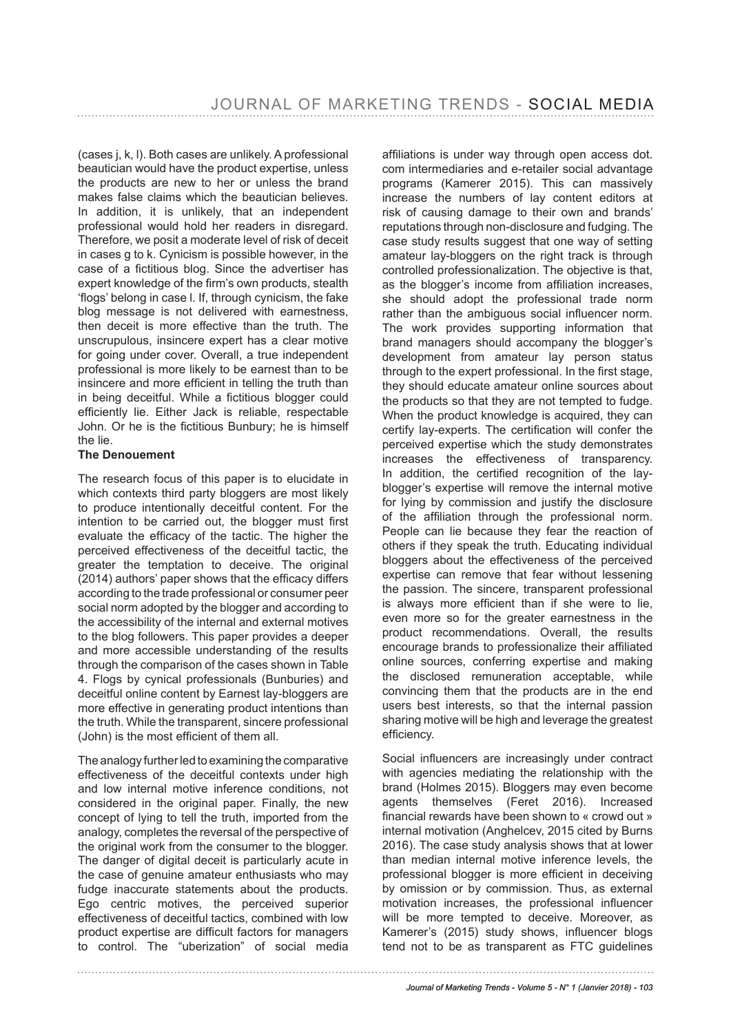(cases j, k, l). Both cases are unlikely. A professional beautician would have the product expertise, unless the products are new to her or unless the brand makes false claims which the beautician believes. In addition, it is unlikely, that an independent professional would hold her readers in disregard. Therefore, we posit a moderate level of risk of deceit in cases g to k. Cynicism is possible however, in the case of a fictitious blog. Since the advertiser has expert knowledge of the frm's own products, stealth 'fogs' belong in case l. If, through cynicism, the fake blog message is not delivered with earnestness, then deceit is more effective than the truth. The unscrupulous, insincere expert has a clear motive for going under cover. Overall, a true independent professional is more likely to be earnest than to be insincere and more efficient in telling the truth than in being deceitful. While a fictitious blogger could efficiently lie. Either Jack is reliable, respectable John. Or he is the fictitious Bunbury; he is himself the lie.

#### **The Denouement**

The research focus of this paper is to elucidate in which contexts third party bloggers are most likely to produce intentionally deceitful content. For the intention to be carried out, the blogger must frst evaluate the efficacy of the tactic. The higher the perceived effectiveness of the deceitful tactic, the greater the temptation to deceive. The original (2014) authors' paper shows that the efficacy differs according to the trade professional or consumer peer social norm adopted by the blogger and according to the accessibility of the internal and external motives to the blog followers. This paper provides a deeper and more accessible understanding of the results through the comparison of the cases shown in Table 4. Flogs by cynical professionals (Bunburies) and deceitful online content by Earnest lay-bloggers are more effective in generating product intentions than the truth. While the transparent, sincere professional (John) is the most efficient of them all.

The analogy further led to examining the comparative effectiveness of the deceitful contexts under high and low internal motive inference conditions, not considered in the original paper. Finally, the new concept of lying to tell the truth, imported from the analogy, completes the reversal of the perspective of the original work from the consumer to the blogger. The danger of digital deceit is particularly acute in the case of genuine amateur enthusiasts who may fudge inaccurate statements about the products. Ego centric motives, the perceived superior effectiveness of deceitful tactics, combined with low product expertise are difficult factors for managers to control. The "uberization" of social media

affliations is under way through open access dot. com intermediaries and e-retailer social advantage programs (Kamerer 2015). This can massively increase the numbers of lay content editors at risk of causing damage to their own and brands' reputations through non-disclosure and fudging. The case study results suggest that one way of setting amateur lay-bloggers on the right track is through controlled professionalization. The objective is that, as the blogger's income from affliation increases, she should adopt the professional trade norm rather than the ambiguous social infuencer norm. The work provides supporting information that brand managers should accompany the blogger's development from amateur lay person status through to the expert professional. In the first stage, they should educate amateur online sources about the products so that they are not tempted to fudge. When the product knowledge is acquired, they can certify lay-experts. The certifcation will confer the perceived expertise which the study demonstrates increases the effectiveness of transparency. In addition, the certifed recognition of the layblogger's expertise will remove the internal motive for lying by commission and justify the disclosure of the affliation through the professional norm. People can lie because they fear the reaction of others if they speak the truth. Educating individual bloggers about the effectiveness of the perceived expertise can remove that fear without lessening the passion. The sincere, transparent professional is always more efficient than if she were to lie, even more so for the greater earnestness in the product recommendations. Overall, the results encourage brands to professionalize their affliated online sources, conferring expertise and making the disclosed remuneration acceptable, while convincing them that the products are in the end users best interests, so that the internal passion sharing motive will be high and leverage the greatest efficiency.

Social infuencers are increasingly under contract with agencies mediating the relationship with the brand (Holmes 2015). Bloggers may even become agents themselves (Feret 2016). Increased fnancial rewards have been shown to « crowd out » internal motivation (Anghelcev, 2015 cited by Burns 2016). The case study analysis shows that at lower than median internal motive inference levels, the professional blogger is more efficient in deceiving by omission or by commission. Thus, as external motivation increases, the professional infuencer will be more tempted to deceive. Moreover, as Kamerer's (2015) study shows, infuencer blogs tend not to be as transparent as FTC guidelines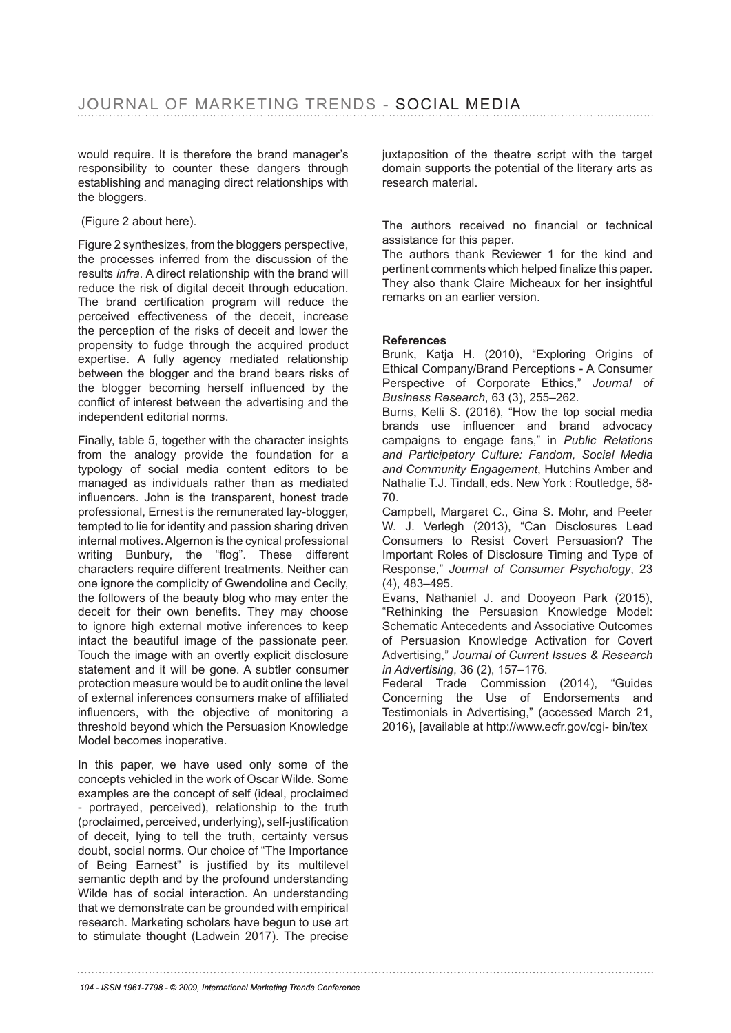would require. It is therefore the brand manager's responsibility to counter these dangers through establishing and managing direct relationships with the bloggers.

(Figure 2 about here).

Figure 2 synthesizes, from the bloggers perspective, the processes inferred from the discussion of the results *infra*. A direct relationship with the brand will reduce the risk of digital deceit through education. The brand certifcation program will reduce the perceived effectiveness of the deceit, increase the perception of the risks of deceit and lower the propensity to fudge through the acquired product expertise. A fully agency mediated relationship between the blogger and the brand bears risks of the blogger becoming herself infuenced by the confict of interest between the advertising and the independent editorial norms.

Finally, table 5, together with the character insights from the analogy provide the foundation for a typology of social media content editors to be managed as individuals rather than as mediated infuencers. John is the transparent, honest trade professional, Ernest is the remunerated lay-blogger, tempted to lie for identity and passion sharing driven internal motives. Algernon is the cynical professional writing Bunbury, the "flog". These different characters require different treatments. Neither can one ignore the complicity of Gwendoline and Cecily, the followers of the beauty blog who may enter the deceit for their own benefits. They may choose to ignore high external motive inferences to keep intact the beautiful image of the passionate peer. Touch the image with an overtly explicit disclosure statement and it will be gone. A subtler consumer protection measure would be to audit online the level of external inferences consumers make of affliated infuencers, with the objective of monitoring a threshold beyond which the Persuasion Knowledge Model becomes inoperative.

In this paper, we have used only some of the concepts vehicled in the work of Oscar Wilde. Some examples are the concept of self (ideal, proclaimed - portrayed, perceived), relationship to the truth (proclaimed, perceived, underlying), self-justifcation of deceit, lying to tell the truth, certainty versus doubt, social norms. Our choice of "The Importance of Being Earnest" is justifed by its multilevel semantic depth and by the profound understanding Wilde has of social interaction. An understanding that we demonstrate can be grounded with empirical research. Marketing scholars have begun to use art to stimulate thought (Ladwein 2017). The precise

juxtaposition of the theatre script with the target domain supports the potential of the literary arts as research material.

The authors received no financial or technical assistance for this paper.

The authors thank Reviewer 1 for the kind and pertinent comments which helped fnalize this paper. They also thank Claire Micheaux for her insightful remarks on an earlier version.

#### **References**

Brunk, Katja H. (2010), "Exploring Origins of Ethical Company/Brand Perceptions - A Consumer Perspective of Corporate Ethics," *Journal of Business Research*, 63 (3), 255–262.

Burns, Kelli S. (2016), "How the top social media brands use infuencer and brand advocacy campaigns to engage fans," in *Public Relations and Participatory Culture: Fandom, Social Media and Community Engagement*, Hutchins Amber and Nathalie T.J. Tindall, eds. New York : Routledge, 58- 70.

Campbell, Margaret C., Gina S. Mohr, and Peeter W. J. Verlegh (2013), "Can Disclosures Lead Consumers to Resist Covert Persuasion? The Important Roles of Disclosure Timing and Type of Response," *Journal of Consumer Psychology*, 23 (4), 483–495.

Evans, Nathaniel J. and Dooyeon Park (2015), "Rethinking the Persuasion Knowledge Model: Schematic Antecedents and Associative Outcomes of Persuasion Knowledge Activation for Covert Advertising," *Journal of Current Issues & Research in Advertising*, 36 (2), 157–176.

Federal Trade Commission (2014), "Guides Concerning the Use of Endorsements and Testimonials in Advertising," (accessed March 21, 2016), [available at http://www.ecfr.gov/cgi- bin/tex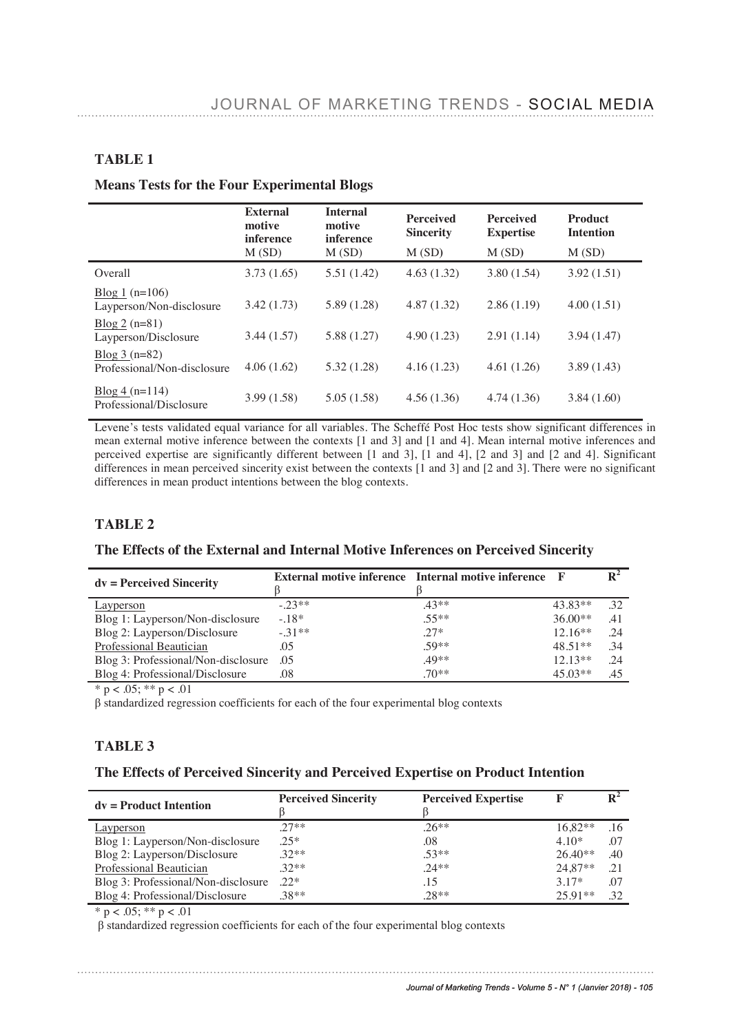## **TABLE 1**

### **Means Tests for the Four Experimental Blogs**

|                                                | <b>External</b><br>motive<br>inference | <b>Internal</b><br>motive<br>inference | <b>Perceived</b><br><b>Sincerity</b> | <b>Perceived</b><br><b>Expertise</b> | <b>Product</b><br><b>Intention</b> |
|------------------------------------------------|----------------------------------------|----------------------------------------|--------------------------------------|--------------------------------------|------------------------------------|
|                                                | M(SD)                                  | M(SD)                                  | M(SD)                                | M(SD)                                | M(SD)                              |
| Overall                                        | 3.73(1.65)                             | 5.51(1.42)                             | 4.63(1.32)                           | 3.80(1.54)                           | 3.92(1.51)                         |
| $Blog 1 (n=106)$<br>Layperson/Non-disclosure   | 3.42(1.73)                             | 5.89 (1.28)                            | 4.87(1.32)                           | 2.86(1.19)                           | 4.00(1.51)                         |
| Blog $2(n=81)$<br>Layperson/Disclosure         | 3.44(1.57)                             | 5.88 (1.27)                            | 4.90(1.23)                           | 2.91(1.14)                           | 3.94(1.47)                         |
| $Blog 3 (n=82)$<br>Professional/Non-disclosure | 4.06(1.62)                             | 5.32 (1.28)                            | 4.16(1.23)                           | 4.61(1.26)                           | 3.89(1.43)                         |
| $Blog 4 (n=114)$<br>Professional/Disclosure    | 3.99(1.58)                             | 5.05(1.58)                             | 4.56(1.36)                           | 4.74(1.36)                           | 3.84(1.60)                         |

Levene's tests validated equal variance for all variables. The Scheffé Post Hoc tests show significant differences in 45 mean external motive inference between the contexts [1 and 3] and [1 and 4]. Mean internal motive inferences and perceived expertise are significantly different between [1 and 3], [1 and 4], [2 and 3] and [2 and 4]. Significant differences in mean perceived sincerity exist between the contexts [1 and 3] and [2 and 3]. There were no significant differences in mean product intentions between the blog contexts.

## **TABLE 2**

#### **The Effects of the External and Internal Motive Inferences on Perceived Sincerity**

| $dv =$ Perceived Sincerity          | External motive inference Internal motive inference F |         |           |     |
|-------------------------------------|-------------------------------------------------------|---------|-----------|-----|
| Layperson                           | $-.23**$                                              | $43**$  | 43.83**   | .32 |
| Blog 1: Layperson/Non-disclosure    | $-.18*$                                               | $.55**$ | $36.00**$ | .41 |
| Blog 2: Layperson/Disclosure        | $-31**$                                               | $27*$   | $12.16**$ | .24 |
| Professional Beautician             | .05                                                   | $.59**$ | $48.51**$ | .34 |
| Blog 3: Professional/Non-disclosure | .05                                                   | .49**   | $12.13**$ | .24 |
| Blog 4: Professional/Disclosure     | .08                                                   | $.70**$ | $45.03**$ | .45 |

 $* p < .05; ** p < .01$ 

β standardized regression coefficients for each of the four experimental blog contexts

## **TABLE 3**

#### **The Effects of Perceived Sincerity and Perceived Expertise on Product Intention**

| $dv = Product Intention$            | <b>Perceived Sincerity</b> | <b>Perceived Expertise</b> |           |     |
|-------------------------------------|----------------------------|----------------------------|-----------|-----|
| Layperson                           | $27**$                     | $.26**$                    | $16.82**$ | .16 |
| Blog 1: Layperson/Non-disclosure    | $25*$                      | .08                        | $4.10*$   | .07 |
| Blog 2: Layperson/Disclosure        | $32**$                     | $.53**$                    | $26.40**$ | .40 |
| Professional Beautician             | $32**$                     | $.24**$                    | $24.87**$ | .21 |
| Blog 3: Professional/Non-disclosure | $.22*$                     | .15                        | $3.17*$   | .07 |
| Blog 4: Professional/Disclosure     | $.38**$                    | $.28**$                    | $25.91**$ | .32 |

 $* p < .05; ** p < .01$ 

β standardized regression coefficients for each of the four experimental blog contexts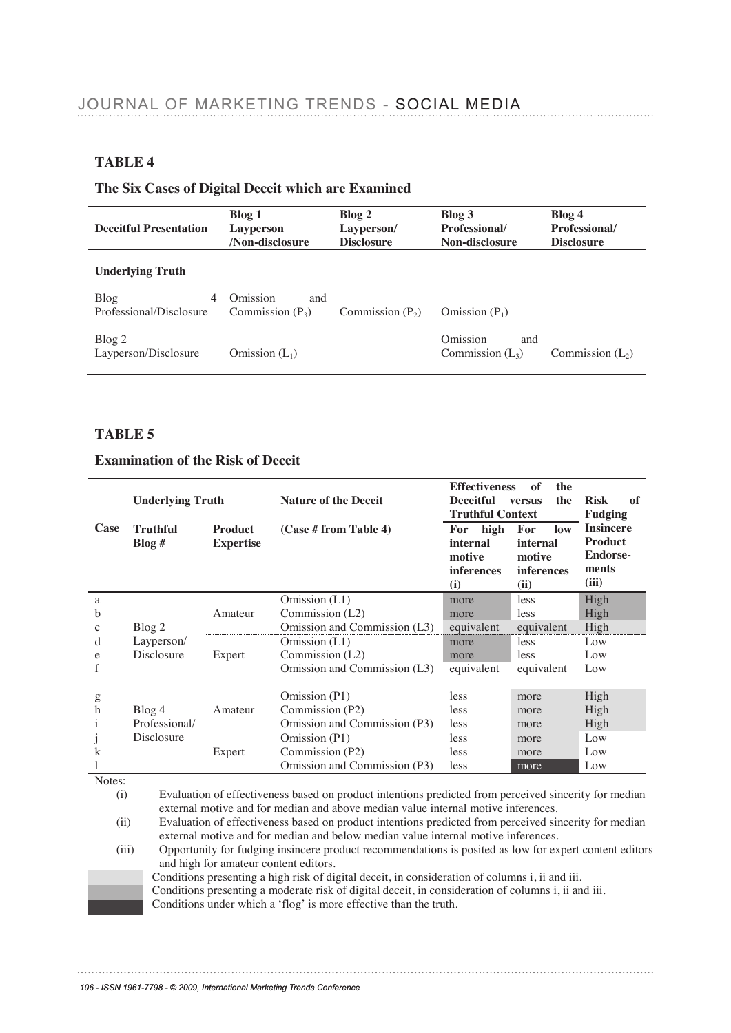## **TABLE 4**

### **The Six Cases of Digital Deceit which are Examined**

| <b>Deceitful Presentation</b>        | <b>Blog</b> 1<br>Layperson<br>/Non-disclosure | Blog 2<br>Layperson/<br><b>Disclosure</b> | Blog 3<br>Professional/<br>Non-disclosure | Blog 4<br><b>Professional/</b><br><b>Disclosure</b> |
|--------------------------------------|-----------------------------------------------|-------------------------------------------|-------------------------------------------|-----------------------------------------------------|
| <b>Underlying Truth</b>              |                                               |                                           |                                           |                                                     |
| Blog<br>4<br>Professional/Disclosure | Omission<br>and<br>Commission $(P_3)$         | Commission $(P_2)$                        | Omission $(P_1)$                          |                                                     |
| Blog 2<br>Layperson/Disclosure       | Omission $(L_1)$                              |                                           | Omission<br>and<br>Commission $(L_3)$     | Commission $(L_2)$                                  |

## **TABLE 5**

#### **Examination of the Risk of Deceit**

| <b>Underlying Truth</b> |                 |                  |                              | <b>Effectiveness</b><br>of<br>the |               |                   |  |
|-------------------------|-----------------|------------------|------------------------------|-----------------------------------|---------------|-------------------|--|
|                         |                 |                  | <b>Nature of the Deceit</b>  | <b>Deceitful</b>                  | the<br>versus | <b>Risk</b><br>of |  |
|                         |                 |                  |                              | <b>Truthful Context</b>           |               | <b>Fudging</b>    |  |
| Case                    | <b>Truthful</b> | <b>Product</b>   | (Case # from Table 4)        | high<br><b>For</b>                | For<br>low    | <b>Insincere</b>  |  |
|                         | Blog $#$        | <b>Expertise</b> |                              | internal                          | internal      | <b>Product</b>    |  |
|                         |                 |                  |                              | motive                            | motive        | <b>Endorse-</b>   |  |
|                         |                 |                  |                              | <i>inferences</i>                 | inferences    | ments             |  |
|                         |                 |                  |                              | (i)                               | (ii)          | (iii)             |  |
| a                       |                 |                  | Omission (L1)                | more                              | less          | High              |  |
| b                       |                 | Amateur          | Commission (L2)              | more                              | less          | High              |  |
| $\mathbf c$             | Blog 2          |                  | Omission and Commission (L3) | equivalent                        | equivalent    | High              |  |
| d                       | Layperson/      |                  | Omission (L1)                | more                              | less          | Low               |  |
| e                       | Disclosure      | Expert           | Commission (L2)              | more                              | less          | Low               |  |
|                         |                 |                  | Omission and Commission (L3) | equivalent                        | equivalent    | Low               |  |
|                         |                 |                  |                              |                                   |               |                   |  |
| g                       |                 |                  | Omission (P1)                | less                              | more          | High              |  |
| $\,h$                   | Blog 4          | Amateur          | Commission (P2)              | less                              | more          | High              |  |
| 1                       | Professional/   |                  | Omission and Commission (P3) | less                              | more          | High              |  |
|                         | Disclosure      |                  | Omission (P1)                | less                              | more          | Low               |  |
| k                       |                 | Expert           | Commission (P2)              | less                              | more          | Low               |  |
|                         |                 |                  | Omission and Commission (P3) | less                              | more          | Low               |  |
| <b>AT</b>               |                 |                  |                              |                                   |               |                   |  |

Notes:

(i) Evaluation of effectiveness based on product intentions predicted from perceived sincerity for median external motive and for median and above median value internal motive inferences.

(ii) Evaluation of effectiveness based on product intentions predicted from perceived sincerity for median external motive and for median and below median value internal motive inferences.

(iii) Opportunity for fudging insincere product recommendations is posited as low for expert content editors and high for amateur content editors.



Conditions presenting a moderate risk of digital deceit, in consideration of columns i, ii and iii. Conditions under which a 'flog' is more effective than the truth.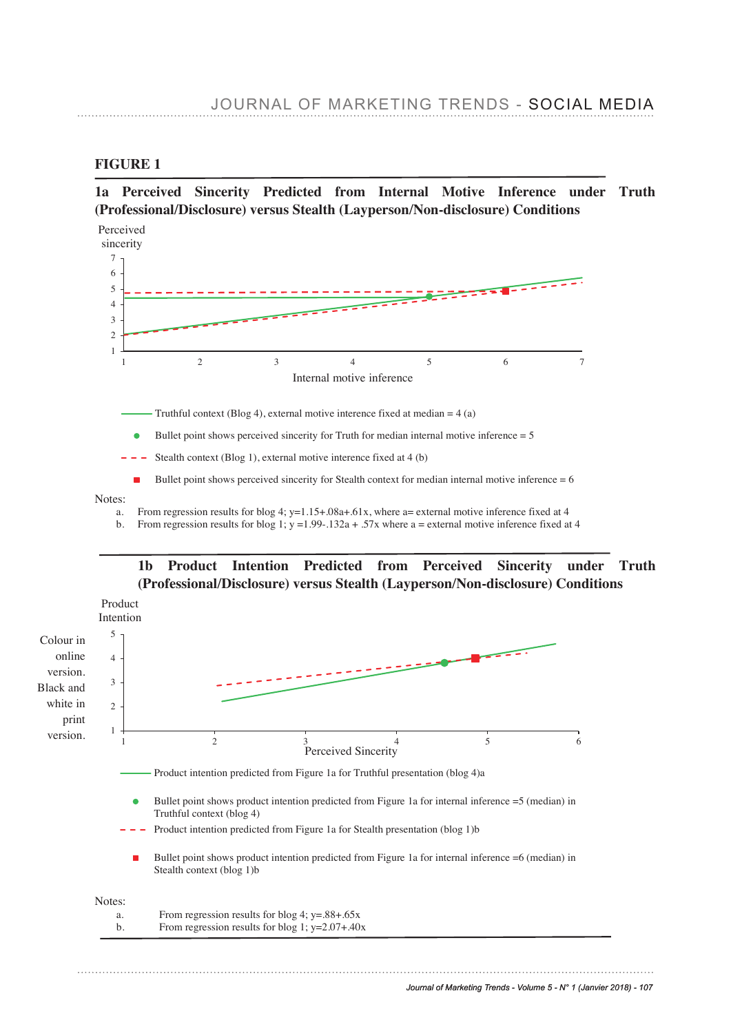## **FIGURE 1**

**1a Perceived Sincerity Predicted from Internal Motive Inference under Truth (Professional/Disclosure) versus Stealth (Layperson/Non-disclosure) Conditions**